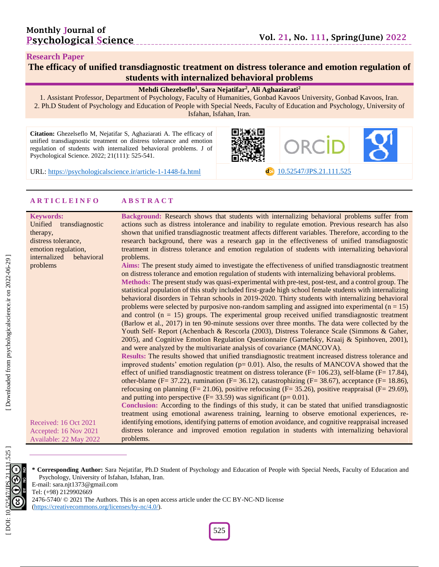## **Monthly Journal of Psychological Science**

#### **Research Paper**

## **The efficacy of unified transdiagnostic treatment on distress tolerance and emotion regulation of students with internalized behavioral problems**

#### **Mehdi Ghezelseflo 1 , Sara Nejatifar 2 , Ali Aghaziarati 2**

1. Assistant Professor, Department of Psychology, Faculty of Humanities, Gonbad Kavoos University, Gonbad Kavoos, Iran. 2. Ph.D Student of Psychology and Education of People with Special Needs, Faculty of Education and Psychology, University of Isfahan, Isfahan, Iran.

**Citation:** Ghezelseflo M, Nejatifar S, Aghaziarati A. The efficacy of unified transdiagnostic treatment on distress tolerance and emotion regulation of students with internalized behavioral problems. J of Psychological Science. 2022; 21(111): 525-541.



dol [10.52547/JPS.21.111.525](https://psychologicalscience.ir/article-1-1448-fa.html)

URL: [https://psychologicalscience.ir/article](https://psychologicalscience.ir/article-1-1448-fa.html)-1-1448

#### **A R T I C L E I N F O A B S T R A C T**

#### **Keywords:**

Unified transdiagnostic therapy, distress tolerance, emotion regulation, internalized behavioral problems

**Background:** Research shows that students with internalizing behavioral problems suffer from actions such as distress intolerance and inability to regulate emotion. Previous research has also shown that unified transdiagnostic treatment affects different variables. Therefore, according to the research background, there was a research gap in the effectiveness of unified transdiagnostic treatment in distress tolerance and emotion regulation of students with internalizing behavioral problems.

**Aims:** The present study aimed to investigate the effectiveness of unified transdiagnostic treatment on distress tolerance and emotion regulation of students with internalizing behavioral problems.

Methods: The present study was quasi-experimental with pre-test, post-test, and a control group. The statistical population of this study included first -grade high school female students with internalizing behavioral disorders in Tehran schools in 2019 -2020. Thirty students with internalizing behavioral problems were selected by purposive non-random sampling and assigned into experimental  $(n = 15)$ and control  $(n = 15)$  groups. The experimental group received unified transdiagnostic treatment (Barlow et al., 2017) in ten 90 -minute sessions over three months. The data were collected by the Youth Self- Report (Achenbach & Rescorla (2003), Distress Tolerance Scale (Simmons & Gaher, 2005), and Cognitive Emotion Regulation Questionnaire (Garnefsky, Kraaij & Spinhoven, 2001), and were analyzed by the multivariate analysis of covariance (MANCOVA).

**Results:** The results showed that unified transdiagnostic treatment increased distress tolerance and improved students' emotion regulation  $(p= 0.01)$ . Also, the results of MANCOVA showed that the effect of unified transdiagnostic treatment on distress tolerance  $(F = 106.23)$ , self-blame  $(F = 17.84)$ , other-blame (F= 37.22), rumination (F= 36.12), catastrophizing (F= 38.67), acceptance (F= 18.86), refocusing on planning ( $F = 21.06$ ), positive refocusing ( $F = 35.26$ ), positive reappraisal ( $F = 29.69$ ), and putting into perspective  $(F= 33.59)$  was significant  $(p= 0.01)$ .

**Conclusion:** According to the findings of this study, it can be stated that unified transdiagnostic

Received: 1 6 Oct 202 1 Accepted: 1 6 Nov 202 1 Available: 22 May 202 2 treatment using emotional awareness training, learning to observe emotional experiences, re identifying emotions, identifying patterns of emotion avoidance, and cognitive reappraisal increased distress tolerance and improved emotion regulation in students with internalizing behavioral problems.

525 DÖ.



E -mail: sara.njt1373@gmail.com

Tel: (+98) 2129902669

2476-5740/ © 2021 The Authors. This is an open access article under the CC BY-NC-ND license

[\(https://creativecommons.org/licenses/by](https://creativecommons.org/licenses/by-nc/4.0/) -nc/4.0/).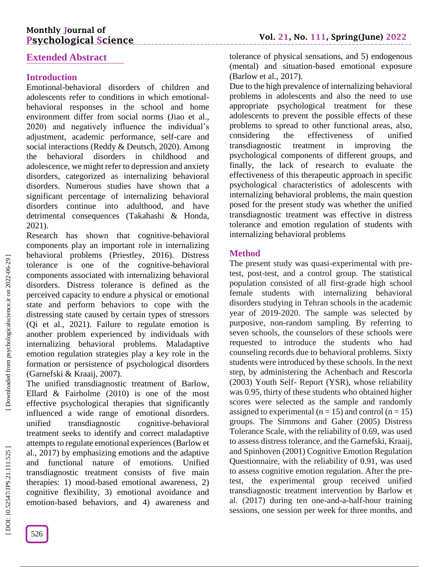# **Monthly Journal of Psychological Science**

## **Extended Abstract**

## **Introduction**

Emotional -behavioral disorders of children and adolescents refer to conditions in which emotional behavioral responses in the school and home environment differ from social norms (Jiao et al., 2020) and negatively influence the individual's adjustment, academic performance, self -care and social interactions (Reddy & Deutsch, 2020). Among the behavioral disorders in childhood and adolescence, we might refer to depression and anxiety disorders, categorized as internalizing behavioral disorders. Numerous studies have shown that a significant percentage of internalizing behavioral disorders continue into adulthood, and have detrimental consequences (Takahashi & Honda, 2021) .

Research has shown that cognitive -behavioral components play an important role in internalizing behavioral problems (Priestley, 2016). Distress tolerance is one of the cognitive -behavioral components associated with internalizing behavioral disorders. Distress tolerance is defined as the perceived capacity to endure a physical or emotional state and perform behaviors to cope with the distressing state caused by certain types of stressors (Qi et al., 2021). Failure to regulate emotion is another problem experienced by individuals with internalizing behavioral problems. Maladaptive emotion regulation strategies play a key role in the formation or persistence of psychological disorders (Garnefski & Kraaij, 2007).

The unified transdiagnostic treatment of Barlow, Ellard & Fairholme (2010) is one of the most effective psychological therapies that significantly influenced a wide range of emotional disorders. unified transdiagnostic cognitive-behavioral treatment seeks to identify and correct maladaptive attempts to regulate emotional experiences (Barlow et al., 2017) by emphasizing emotions and the adaptive and functional nature of emotions. Unified transdiagnostic treatment consists of five main therapies: 1) mood -based emotional awareness, 2) cognitive flexibility, 3) emotional avoidance and emotion -based behaviors, and 4) awareness and tolerance of physical sensations, and 5) endogenous (mental) and situation -based emotional exposure (Barlow et al., 2017).

Due to the high prevalence of internalizing behavioral problems in adolescents and also the need to use appropriate psychological treatment for these adolescents to prevent the possible effects of these problems to spread to other functional areas, also, considering the effectiveness of unified transdiagnostic treatment in improving the psychological components of different groups, and finally, the lack of research to evaluate the effectiveness of this therapeutic approach in specific psychological characteristics of adolescents with internalizing behavioral problems, the main question posed for the present study was whether the unified transdiagnostic treatment was effective in distress tolerance and emotion regulation of students with internalizing behavioral problems

## **Method**

The present study was quasi-experimental with pretest, post -test, and a control group. The statistical population consisted of all first -grade high school female students with internalizing behavioral disorders studying in Tehran schools in the academic year of 2019 -2020. The sample was selected by purposive, non -random sampling. By referring to seven schools, the counselors of these schools were requested to introduce the students who had counseling records due to behavioral problems. Sixty students were introduced by these schools. In the next step, by administering the Achenbach and Rescorla (2003) Youth Self - Report (YSR), whose reliability was 0.95, thirty of these students who obtained higher scores were selected as the sample and randomly assigned to experimental ( $n = 15$ ) and control ( $n = 15$ ) groups. The Simmons and Gaher (2005) Distress Tolerance Scale, with the reliability of 0.69, was used to assess distress tolerance, and the Garnefski, Kraaij, and Spinhoven (2001) Cognitive Emotion Regulation Questionnaire, with the reliability of 0.91, was used to assess cognitive emotion regulation. After the pre test, the experimental group received unified transdiagnostic treatment intervention by Barlow et al. (2017) during ten one -and - a -half-hour training sessions, one session per week for three months, and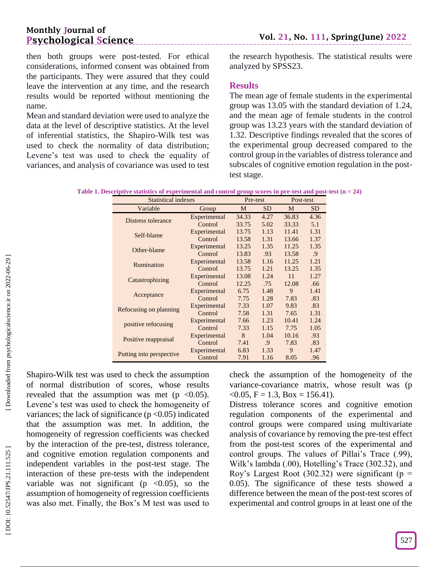then both groups were post -tested. For ethical considerations, informed consent was obtained from the participants. They were assured that they could leave the intervention at any time, and the research results would be reported without mentioning the name.

\_\_\_\_\_\_\_\_\_\_\_\_\_\_\_\_\_\_

Mean and standard deviation were used to analyze the data at the level of descriptive statistics. At the level of inferential statistics, the Shapiro -Wilk test was used to check the normality of data distribution; Levene's test was used to check the equality of variances, and analysis of covariance was used to test

the research hypothesis. The statistical results were analyzed by SPSS23.

## **Results**

The mean age of female students in the experimental group was 13.05 with the standard deviation of 1.24, and the mean age of female students in the control group was 13.23 years with the standard deviation of 1.32. Descriptive findings revealed that the scores of the experimental group decreased compared to the control group in the variables of distress tolerance and subscales of cognitive emotion regulation in the post test stage.

| Table 1. Descriptive statistics of experimental and control group scores in pre-test and post-test $(n = 24)$ |
|---------------------------------------------------------------------------------------------------------------|
|---------------------------------------------------------------------------------------------------------------|

| <b>Statistical indexes</b> | Pre-test     |       | Post-test  |       |            |
|----------------------------|--------------|-------|------------|-------|------------|
| Variable                   | Group        | M     | SD.        | M     | SD.        |
| Distress tolerance         | Experimental | 34.33 | 4.27       | 36.83 | 4.36       |
|                            | Control      | 33.75 | 5.02       | 33.33 | 5.1        |
| Self-blame                 | Experimental | 13.75 | 1.13       | 11.41 | 1.31       |
|                            | Control      | 13.58 | 1.31       | 13.66 | 1.37       |
| Other-blame                | Experimental | 13.25 | 1.35       | 11.25 | 1.35       |
|                            | Control      | 13.83 | .93        | 13.58 | $\cdot$ .9 |
| Rumination                 | Experimental | 13.58 | 1.16       | 11.25 | 1.21       |
|                            | Control      | 13.75 | 1.21       | 13.25 | 1.35       |
| Catastrophizing            | Experimental | 13.08 | 1.24       | 11    | 1.27       |
|                            | Control      | 12.25 | .75        | 12.08 | .66        |
| Acceptance                 | Experimental | 6.75  | 1.48       | 9     | 1.41       |
|                            | Control      | 7.75  | 1.28       | 7.83  | .83        |
| Refocusing on planning     | Experimental | 7.33  | 1.07       | 9.83  | .83        |
|                            | Control      | 7.58  | 1.31       | 7.65  | 1.31       |
| positive refocusing        | Experimental | 7.66  | 1.23       | 10.41 | 1.24       |
|                            | Control      | 7.33  | 1.15       | 7.75  | 1.05       |
|                            | Experimental | 8     | 1.04       | 10.16 | .93        |
| Positive reappraisal       | Control      | 7.41  | $\cdot$ .9 | 7.83  | .83        |
|                            | Experimental | 6.83  | 1.33       | 9     | 1.47       |
| Putting into perspective   | Control      | 7.91  | 1.16       | 8.05  | .96        |

Shapiro -Wilk test was used to check the assumption of normal distribution of scores, whose results revealed that the assumption was met ( $p \le 0.05$ ). Levene's test was used to check the homogeneity of variances; the lack of significance ( $p < 0.05$ ) indicated that the assumption was met. In addition, the homogeneity of regression coefficients was checked by the interaction of the pre -test, distress tolerance, and cognitive emotion regulation components and independent variables in the post -test stage. The interaction of these pre -tests with the independent variable was not significant ( $p \lt 0.05$ ), so the assumption of homogeneity of regression coefficients was also met. Finally, the Box's M test was used to

check the assumption of the homogeneity of the variance -covariance matrix, whose result was (p  $<$  0.05, F = 1.3, Box = 156.41).

Distress tolerance scores and cognitive emotion regulation components of the experimental and control groups were compared using multivariate analysis of covariance by removing the pre -test effect from the post -test scores of the experimental and control groups. The values of Pillai's Trace (.99), Wilk's lambda (.00), Hotelling's Trace (302.32), and Roy's Largest Root (302.32) were significant ( $p =$ 0.05). The significance of these tests showed a difference between the mean of the post -test scores of experimental and control groups in at least one of the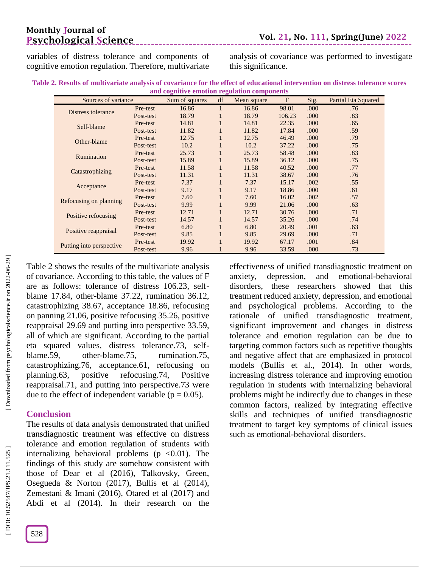# **Monthly Journal of Psychological Science**

variables of distress tolerance and components of cognitive emotion regulation. Therefore, multivariate

analysis of covariance was performed to investigate this significance.

| Table 2. Results of multivariate analysis of covariance for the effect of educational intervention on distress tolerance scores |
|---------------------------------------------------------------------------------------------------------------------------------|
| and cognitive emotion regulation components                                                                                     |

\_\_\_\_\_\_\_\_\_\_\_\_\_\_\_\_\_\_\_\_\_\_

| Sources of variance      |           | Sum of squares | df           | Mean square | $\mathbf{F}$ | Sig. | <b>Partial Eta Squared</b> |
|--------------------------|-----------|----------------|--------------|-------------|--------------|------|----------------------------|
| Distress tolerance       | Pre-test  | 16.86          | 1            | 16.86       | 98.01        | .000 | .76                        |
|                          | Post-test | 18.79          | $\mathbf{1}$ | 18.79       | 106.23       | .000 | .83                        |
| Self-blame               | Pre-test  | 14.81          | $\mathbf{1}$ | 14.81       | 22.35        | .000 | .65                        |
|                          | Post-test | 11.82          | $\mathbf{1}$ | 11.82       | 17.84        | .000 | .59                        |
| Other-blame              | Pre-test  | 12.75          | $\mathbf{1}$ | 12.75       | 46.49        | .000 | .79                        |
|                          | Post-test | 10.2           | $\mathbf{1}$ | 10.2        | 37.22        | .000 | .75                        |
| Rumination               | Pre-test  | 25.73          | 1            | 25.73       | 58.48        | .000 | .83                        |
|                          | Post-test | 15.89          | $\mathbf{1}$ | 15.89       | 36.12        | .000 | .75                        |
| Catastrophizing          | Pre-test  | 11.58          | $\mathbf{1}$ | 11.58       | 40.52        | .000 | .77                        |
|                          | Post-test | 11.31          | $\mathbf{1}$ | 11.31       | 38.67        | .000 | .76                        |
| Acceptance               | Pre-test  | 7.37           | 1            | 7.37        | 15.17        | .002 | .55                        |
|                          | Post-test | 9.17           | $\mathbf{1}$ | 9.17        | 18.86        | .000 | .61                        |
| Refocusing on planning   | Pre-test  | 7.60           | $\mathbf{1}$ | 7.60        | 16.02        | .002 | .57                        |
|                          | Post-test | 9.99           | 1            | 9.99        | 21.06        | .000 | .63                        |
|                          | Pre-test  | 12.71          | 1            | 12.71       | 30.76        | .000 | .71                        |
| Positive refocusing      | Post-test | 14.57          | $\mathbf{1}$ | 14.57       | 35.26        | .000 | .74                        |
| Positive reappraisal     | Pre-test  | 6.80           | $\mathbf{1}$ | 6.80        | 20.49        | .001 | .63                        |
|                          | Post-test | 9.85           | $\mathbf{1}$ | 9.85        | 29.69        | .000 | .71                        |
|                          | Pre-test  | 19.92          | $\mathbf{1}$ | 19.92       | 67.17        | .001 | .84                        |
| Putting into perspective | Post-test | 9.96           |              | 9.96        | 33.59        | .000 | .73                        |

Table 2 shows the results of the multivariate analysis of covariance. According to this table, the values of F are as follows: tolerance of distress 106.23, self blame 17.84, other -blame 37.22, rumination 36.12, catastrophizing 38.67, acceptance 18.86, refocusing on panning 21.06, positive refocusing 35.26, positive reappraisal 29.69 and putting into perspective 33.59, all of which are significant. According to the partial eta squared values, distress tolerance.73, self blame.59, other-blame.75, rumination.75, catastrophizing.76, acceptance.61, refocusing on planning.63, positive refocusing.74, Positive reappraisal.71, and putting into perspective.73 were due to the effect of independent variable ( $p = 0.05$ ).

#### **Conclusion**

The results of data analysis demonstrated that unified transdiagnostic treatment was effective on distress tolerance and emotion regulation of students with internalizing behavioral problems ( $p \le 0.01$ ). The findings of this study are somehow consistent with those of Dear et al (2016), Talkovsky, Green, Osegueda & Norton (2017), Bullis et al (2014), Zemestani & Imani (2016), Otared et al (2017) and Abdi et al (2014). In their research on the

effectiveness of unified transdiagnostic treatment on anxiety, depression, and emotional -behavioral disorders, these researchers showed that this treatment reduced anxiety, depression, and emotional and psychological problems. According to the rationale of unified transdiagnostic treatment, significant improvement and changes in distress tolerance and emotion regulation can be due to targeting common factors such as repetitive thoughts and negative affect that are emphasized in protocol models (Bullis et al., 2014). In other words, increasing distress tolerance and improving emotion regulation in students with internalizing behavioral problems might be indirectly due to changes in these common factors, realized by integrating effective skills and techniques of unified transdiagnostic treatment to target key symptoms of clinical issues such as emotional-behavioral disorders.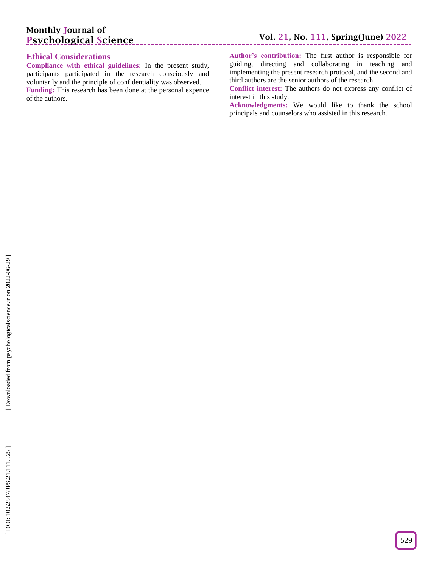## **Ethical Considerations**

**Compliance with ethical guidelines:** In the present study, participants participated in the research consciously and voluntarily and the principle of confidentiality was observed. **Funding:** This research has been done at the personal expence of the authors.

\_\_\_\_\_\_\_\_\_\_\_\_\_\_\_\_\_\_\_\_\_\_\_\_

**Author's contribution:** The first author is responsible for guiding, directing and collaborating in teaching and implementing the present research protocol, and the second and third authors are the senior authors of the research.

**Conflict interest:** The authors do not express any conflict of interest in this study.

**Acknowledgments:** We would like to thank the school principals and counselors who assisted in this research.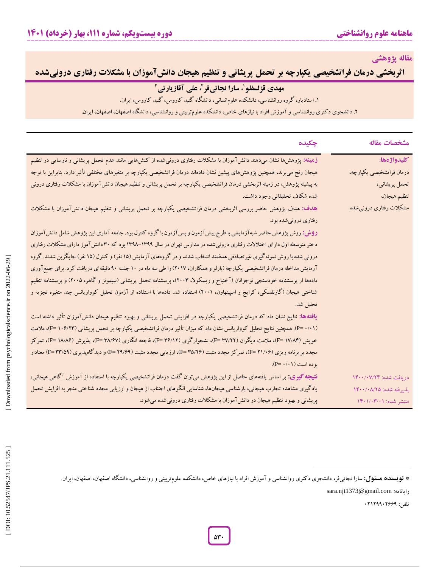**مقاله پژوهشی**

**اثربخشی درمان فراتشخیصی یکپارچه بر تحمل پریشانی و تنظیم هیجان دانش آموزان با مشکلات رفتاری درونیشده** 

# **،<sup>1</sup> سارا نجاتی مهدی قزلسفلو فر 2 آقازیارتی ، علی**

**ههدی قز لسفلو <sup>(</sup>، سارا نجاتیفر <sup>۲</sup>، علی آقازیارتی <sup>۲</sup><br>. استادیار، گروه روانشناسی، دانشکده علوم<sub>ا</sub>نسانی، دانشگاه گنبد کاووس، گنبد کاووس، ایران.** 

۱. استادیار، کروه روانشناسی، دانشکده علوم|نسانی، دانشکاه کنبد کاووس، کنبد کاووس، ایران.<br>۲. دانشجوی دکتری روانشناسی و آموزش افراد با نیازهای خاص، دانشکده علومتربیتی و روانشناسی، دانشگاه اصفهان، اصفهان، ایران.

| مشخصات مقاله             | جكيده                                                                                                                              |
|--------------------------|------------------------------------------------------------------------------------------------------------------------------------|
| كليدواژهها:              | زهینه: پژوهش(ها نشان میدهند دانشآموزان با مشکلات رفتاری درونیشده از کنش۵ایی مانند عدم تحمل پریشانی و نارسایی در تنظیم              |
| درمان فراتشخيصي يكپارچه، | هیجان رنج می برند، همچنین پژوهش،های پیشین نشان دادهاند درمان فراتشخیصی یکپارچه بر متغیرهای مختلفی تأثیر دارد. بنابراین با توجه     |
| تحمل پريشاني،            | به پیشینه پژوهش، در زمینه اثربخشی درمان فراتشخیصی یکپارچه بر تحمل پریشانی و تنظیم هیجان دانش آموزان با مشکلات رفتاری درونی         |
| تنظيم هيجان،             | شده شکاف تحقیقاتی وجود داشت.                                                                                                       |
| مشکلات رفتاری درونیشده   | هدف: هدف پژوهش حاضر بررسی اثربخشی درمان فراتشخیصی یکپارچه بر تحمل پریشانی و تنظیم هیجان دانشآموزان با مشکلات                       |
|                          | رفتاری درونیشده بود.                                                                                                               |
|                          | <b>روش:</b> روش پژوهش حاضر شبه آزمایشی با طرح پیش آزمون و پس آزمون با گروه کنترل بود. جامعه آماری این پژوهش شامل دانش آموزان       |
|                          | دختر متوسطه اول دارای اختلالات رفتاری درونیشده در مدارس تهران در سال ۱۳۹۹–۱۳۹۸ بود که ۳۰ دانش آموز دارای مشکلات رفتاری             |
|                          | درونی شده با روش نمونه گیری غیرتصادفی هدفمند انتخاب شدند و در گروههای آزمایش (۱۵ نفر) و کنترل (۱۵ نفر) جایگزین شدند. گروه          |
|                          | آزمایش مداخله درمان فراتشخیصی یکپارچه (بارلو و همکاران، ۲۰۱۷) را طی سه ماه در ۱۰ جلسه ۹۰ دقیقهای دریافت کرد. برای جمع آوری         |
|                          | دادهها از پرسشنامه خودسنجی نوجوانان (آخنباخ و ریسکولا، ۲۰۰۳)، پرسشنامه تحمل پریشانی (سیمونز و گاهر، ۲۰۰۵) و پرسشنامه تنظیم         |
|                          | شناختی هیجان (گارنفسکی، کرایج و اسپینهاون، ۲۰۰۱) استفاده شد. دادهها با استفاده از آزمون تحلیل کوواریانس چند متغیره تجزیه و         |
|                          | تحليل شد.                                                                                                                          |
|                          | <b>یافتهها:</b> نتایج نشان داد که درمان فراتشخیصی یکپارچه در افزایش تحمل پریشانی و بهبود تنظیم هیجان دانشآموزان تأثیر داشته است    |
|                          | (۰۱۱- P). همچنین نتایج تحلیل کوواریانس نشان داد که میزان تأثیر درمان فراتشخیصی یکپارچه بر تحمل پریشانی (۱۰۶/۲۳)، ملامت             |
|                          | خویش (F= ۱۷/۸۴)، ملامت دیگران (F= ۳۷/۲۲)، نشخوارگری (F= ۳۶/۱۲)، فاجعه انگاری (F= ۳۸/۶۷)، پذیرش (۱۸/۸۶ =F)، تمركز                   |
|                          | مجدد بر برنامه ریزی (۴۱/۰۶)، تمرکز مجدد مثبت (۴۵/۲۶)، ارزیابی مجدد مثبت (۲۹/۶۹) =F) و دیدگاهپذیری (۴۹/۵۹) معنادار                  |
|                          | بوده است (۰/۱۱).                                                                                                                   |
| دريافت شده: ۱۴۰۰/۰۷/۲۴   | <b>نتیج</b> ه <b>کیری:</b> بر اساس یافتههای حاصل از این پژوهش میتوان گفت درمان فراتشخیصی یکپارچه با استفاده از آموزش آگاهی هیجانی، |
| پذیرفته شده: ۱۴۰۰/۰۸/۲۵  | یادگیری مشاهده تجارب هیجانی، بازشناسی هیجانها، شناسایی الگوهای اجتناب از هیجان و ارزیابی مجدد شناختی منجر به افزایش تحمل           |
| منتشر شده: ۱۴۰۱/۰۳/۰۱    | پریشانی و بهبود تنظیم هیجان در دانشآموزان با مشکلات رفتاری درونی شده میشود.                                                        |

\* فویسنده هسئول: سارا نجاتیفر، دانشجوی دکتری روانشناسی و آموزش افراد با نیازهای خاص، دانشکده علومتربیتی و روانشناسی، دانشگاه اصفهان، اصفهان، اصفهان، ا

sara.njt1373@gmail.com :رایانامه

تلفن: 52121152111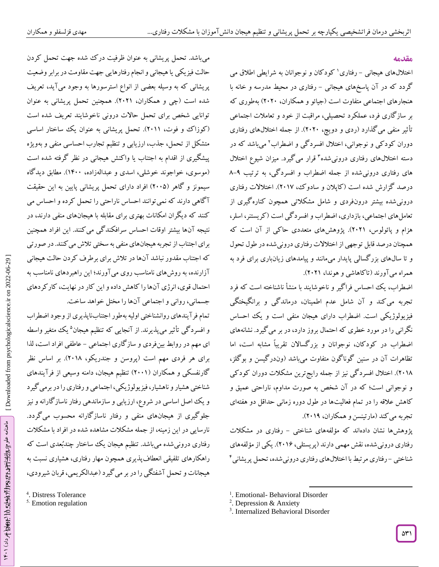#### **مقدمه**

اختلالهای هیجانی – رفتاری <sup>۱</sup> کودکان و نوجوانان به شرایطی اطلاق می گردد که در آن پاسخهای هیجانی – رفتاری در محیط مدرسه و خانه با هنجارهای اجتماعی متفاوت است )جیائو و همکاران، 2525( بهطوری که بر سازگاری فرد، عملکرد تحصیلی، مراقبت از خود و تعامالت اجتماعی تأثیر منفی میگذارد )ردی و دویچ، 2525(. از جمله اختاللهای رفتاری دوران کودکی و نوجوانی، اختالل افسردگی و اضطراب 2 میباشد که در دسته اختاللهای رفتاری درونیشده های رفتاری درونیشده از جمله اضطراب و افسردگی، به ترتیب 8-1 قرار میگیرد. میزان شیوع اختالل <sup>3</sup> درصد گزارش شده است )کاپالن و سادوک، 2517(. اختالالت رفتاری درونیشده بیشتر درونفردی و شامل مشکالتی همچون کنارهگیری از تعاملهای اجتماعی، بازداری، اضطراب و افسردگی است )کریستنر، اسلر، هزام و پائولوس، 2521(. پژوهشهای متعددی حاکی از آن است که همچنان درصد قابل توجهی از اختالالت رفتاری درونیشده در طول تحول و تا سالهای بزرگسالی پایدار میمانند و پیامدهای زیانباری برای فرد به همراه میآورند )تاکاهاشی و هوندا، 2521(.

اضطراب، یک احساس فراگیر و ناخوشایند با منشأ ناشناخته است که فرد تجربه میکند و آن شامل عدم اطمینان، درماندگی و برانگیختگی فیزیولوژیکی است. اضطراب دارای هیجان منفی است و یک احساس نگرانی را در مورد خطری که احتمال بروز دارد، در بر میگیرد. نشانههای اضطراب در کودکان، نوجوانان و بزرگساالن تقریباً مشابه است، اما تظاهرات آن در سنین گوناگون متفاوت میباشد )وندرگیسن و بوگلز، ۲۰۱۸). اختلال افسرد کی نیز از جمله رایج ترین مشکلات دوران کودکی و نوجوانی است؛ که در آن شخص به صورت مداوم، ناراحتی عمیق و کاهش عالقه را در تمام فعالیتها در طول دوره زمانی حداقل دو هفتهای تجربه میکند (مارتینسن و همکاران، ۲۰۱۹).

پژوهشها نشان دادهاند که مؤلفههای شناختی – رفتاری در مشکلات رفتاری درونیشده، نقش مهمی دارند )پریستلی، 2511(. یکی از مؤلفههای شناختی – رفتاری مرتبط با اختلالهای رفتاری درونیشده، تحمل پریشانی<sup>۴</sup>

 $\overline{\phantom{a}}$ 

میباشد. تحمل پریشانی به عنوان ظرفیت درک شده جهت تحمل کردن حالت فیزیکی یا هیجانی و انجام رفتارهایی جهت مقاومت در برابر وضعیت پریشانی که به وسیله بعضی از انواع استرسورها به وجود میآید، تعریف شده است )چی و همکاران، 2521(. همچنین تحمل پریشانی به عنوان توانایی شخص برای تحمل حاالت درونی ناخوشایند تعریف شده است (کوزاک و فوت، ۲۰۱۱). تحمل پریشانی به عنوان یک ساختار اساسی یژه متشکل از تحمل، جذب، ارزیابی و تنظیم تجارب احساسی منفی و بهو پیشگیری از اقدام به اجتناب یا واکنش هیجانی در نظر گرفته شده است )موسوی، خواجوند خوشلی، اسدی و عبدالهزاده، 1455(. مطابق دیدگاه سیمونز و گاهر )2550( افراد دارای تحمل پریشانی پایین به این حقیقت آگاهی دارند که نمیتوانند احساس ناراحتی را تحمل کرده و احساس می کنند که دیگران امکانات بهتری برای مقابله با هیجانهای منفی دارند، در نتیجه آنها بیشتر اوقات احساس سرافکندگی میکنند. این افراد همچنین برای اجتناب از تجربه هیجانهای منفی به سختی تالش میکنند. در صورتی که اجتناب مقدور نباشد آنها در تالش برای برطرف کردن حالت هیجانی آزارنده، به روشهای نامناسب روی میآورند؛ این راهبردهای نامناسب به احتمال قوی، انرژی آنها را کاهش داده و این کار در نهایت، کارکردهای جسمانی، روانی و اجتماعی آنها را مختل خواهد ساخت.

تمام فرآیندهای روانشناختی اولیه بهطور اجتنابناپذیری از وجود اضطراب و افسردگی تأثیر می $\mu$ یرند. از آنجایی که تنظیم هیجان $^{\circ}$  یک متغیر واسطه ای مهم در روابط بینفردی و ساز کاری اجتماعی – عاطفی افراد است، لدا برای هر فردی مهم است )پروسن و جندریکو، 2518(. بر اساس نظر گارنفسکی و همکاران )2551( تنظیم هیجان، دامنه وسیعی از فرآیندهای گیرد شناختی هشیار و ناهشیار، فیزیولوژیکی، اجتماعی و رفتاری را در برمی و یک اصل اساسی در شروع، ارزیابی و سازماندهی رفتار ناسازگارانه و نیز جلوگیری از هیجانهای منفی و رفتار ناسازگارانه محسوب میگردد. نارسایی در این زمینه، از جمله مشکالت مشاهده شده در افراد با مشکالت رفتاری درونیشده میباشد. تنظیم هیجان یک ساختار چندبُعدی است که راهکارهای تلفیقی انعطافپذیری همچون مهار رفتاری، هشیاری نسبت به 4 هیجانات و تحمل آشفتگی را در بر میگیرد )عبدالکریمی، قربان شیرودی،

. Distress Tolerance

5 . Emotion regulation

<sup>&</sup>lt;sup>1</sup>. Emotional- Behavioral Disorder

<sup>&</sup>lt;sup>2</sup>. Depression & Anxiety

<sup>3</sup> . Internalized Behavioral Disorder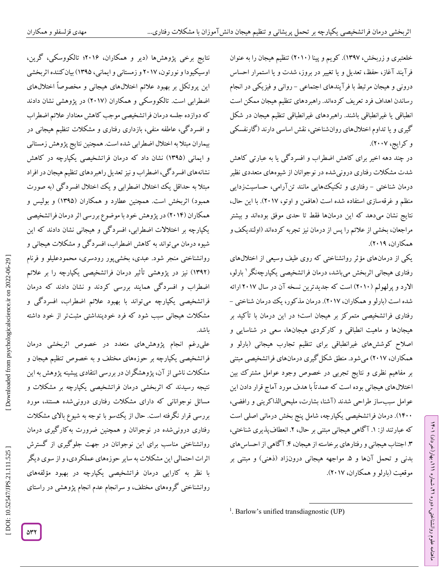خلعتبری و زربخش، ۱۳۹۷). کویم و پینا (۲۰۱۰) تنظیم هیجان را به عنوان فرآیند آغاز، حفظ، تعدیل و یا تغییر در بروز، شدت و یا استمرار احساس<br>درونی و هیجان مرتبط با فرآیندهای اجتماعی – روانی و فیزیکی در انجام رساندن اهداف فرد تعریف کردهاند. راهبردهای تنظیم هیجان ممکن است انطباقی یا غیرانطباقی باشند. راهبردهای غیرانطباقی تنظیم هیجان در شکل گیری و یا تداوم اختاللهای روانشناختی، نقش اساسی دارند )گارنفسکی و کرایج، ۲۰۰۷).

در چند دهه اخیر برای کاهش اضطراب و افسردگی یا به عبارتی کاهش شدت مشکالت رفتاری درونیشده در نوجوانان از شیوههای متعددی نظیر درمان شناختی – رفتاری و تکنیکهایی مانند تن[رامی، حساسیتزدایی منظم و غرقهسازی استفاده شده است )هافمن و اوتو، 2517(. با این حال، نتایج نشان میدهد که این درمانها فقط تا حدی موفق بودهاند و بیشتر مراجعان، بخشی از عالئم را پس از درمان نیز تجربه کردهاند )اولندیکفو همکاران، 2511(.

یکی از درمانهای مؤثر روانشناختی که روی طیف وسیعی از اختاللهای رفتاری هیجانی اثربخش میباشد، درمان فراتشخیصی یکپارچهنگر 1 بارلو، الارد و پرلهولم (۲۰۱۰) است که جدیدترین نسخه آن در سال ۲۰۱۷ ارائه<br>شده است (بارلو و همکاران، ۲۰۱۷). درمان مذکور، یک درمان شناختی – رفتاری فراتشخیصی متمرکز بر هیجان است؛ در این درمان با تأکید بر هیجانها و ماهیت انطباقی و کارکردی هیجانها، سعی در شناسایی و اصالح کوششهای غیرانطباقی برای تنظیم تجارب هیجانی )بارلو و همکاران، ۲۰۱۷) می شود. منطق شکل گیری درمانهای فراتشخیصی مبتنی بر مفاهیم نظری و نتایج تجربی در خصوص وجود عوامل مشترک بین اختاللهای هیجانی بوده است که عمدتاً با هدف مورد آماج قرار دادن این عوامل سببساز طراحی شدند )آشنا، بشارت، ملیحیالذاکرینی و رافضی، 1455(. درمان فراتشخیصی یکپارچه، شامل پنج بخش درمانی اصلی است که عبارتند از: ۱. آگاهی هیجانی مبتنی بر حال، ۲. انعطافپذیری شناختی، .3 اجتناب هیجانی و رفتارهای برخاسته از هیجان، .4آگاهی از احساسهای بدنی و تحمل آنها و ۵ مواجهه هیجانی درونزاد (ذهنی) و مبتنی بر موقعیت )بارلو و همکاران، 2517(.

ラン

، بهار)خرداد( 111

، شماره 21

ماهنامه علوم روانشناختی، دوره

 $\overline{\phantom{a}}$ <sup>1</sup>. Barlow's unified transdiagnostic (UP)

نتایج برخی پژوهشها )دیر و همکاران، 2511؛ تالکووسکی، گرین، اوسیکیودا و نورتون، 2517 و زمستانی و ایمانی، 1310( بیانکننده اثربخشی این پروتکل بر بهبود عالئم اختاللهای هیجانی و مخصوصاً اختاللهای اضطرابی است. تالکووسکی و همکاران )2517( در پژوهشی نشان دادند که دوازده جلسه درمان فراتشخیصی موجب کاهش معنادار عالئم اضطراب و افسردگی، عاطفه منفی، بازداری رفتاری و مشکالت تنظیم هیجانی در بیماران مبتال به اختالل اضطرابی شده است. همچنین نتایج پژوهش زمستانی و ایمانی )1310( نشان داد که درمان فراتشخیصی یکپارچه در کاهش نشانههای افسردگی، اضطراب و نیز تعدیل راهبردهای تنظیم هیجان در افراد مبتال به حداقل یک اختالل اضطرابی و یک اختالل افسردگی )به صورت همبود) اثربخش است. همچنین عطارد و همکاران (۱۳۹۵) و بولیس و همکاران )2514( در پژوهش خود با موضوع بررسی اثر درمان فراتشخیصی یکپارچه بر اختالالت اضطرابی، افسردگی و هیجانی نشان دادند که این شیوه درمان میتواند به کاهش اضطراب، افسردگی و مشکالت هیجانی و روانشناختی منجر شود. عبدی، بخشیپور رودسری، محمودعلیلو و فرنام (۱۳۹۲) نیز در پژوهشی تاثیر درمان فراتشخیصی یکپارچه را بر علائم اضطراب و افسردگی همایند بررسی کردند و نشان دادند که درمان فراتشخیصی یکپارچه میتواند با بهبود عالئم اضطراب، افسردگی و مشکالت هیجانی سبب شود که فرد خودپنداشتی مثبتتر از خود داشته باشد.

علیرغم انجام پژوهشهای متعدد در خصوص اثربخشی درمان فراتشخیصی یکپارچه بر حوزههای مختلف و به خصوص تنظیم هیجان و مشکالت ناشی از آن، پژوهشگران در بررسی انتقادی پیشینه پژوهش به این نتیجه رسیدند که اثربخشی درمان فراتشخیصی یکپارچه بر مشکالت و مسائل نوجوانانی که دارای مشکالت رفتاری درونیشده هستند، مورد بررسی قرار نگرفته است. حال از یکسو با توجه به شیوع باالی مشکالت رفتاری درونیشده در نوجوانان و همچنین ضرورت بهکارگیری درمان روانشناختی مناسب برای این نوجوانان در جهت جلوگیری از گسترش اثرات احتمالی این مشکالت به سایر حوزههای عملکردی، و از سوی دیگر با نظر به کارایی درمان فراتشخیصی یکپارچه در بهبود مؤلفههای روانشناختی گروههای مختلف، و سرانجام عدم انجام پژوهشی در راستای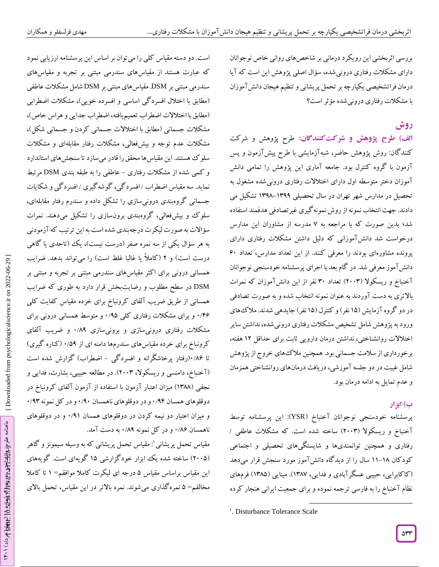بررسی اثربخشی این رویکرد درمانی بر شاخصهای روانی خاص نوجوانان دارای مشکالت رفتاری درونیشده، سؤال اصلی پژوهش این است که آیا درمان فراتشخیصی یکپارچه بر تحمل پریشانی و تنظیم هیجان دانش آموزان با مشکالت رفتاری درونیشده مؤثر است؟

# **روش**

طرح پژوهش و شرکت **شرکتکنندگان: الف( طرح پژوهش و** کنندگان: روش پژوهش حاضر، شبهآزمایشی با طرح پیشآزمون و پس آزمون با گروه کنترل بود. جامعه آماری این پژوهش را تمامی دانش آموزان دختر متوسطه اول دارای اختالالت رفتاری درونیشده مشغول به تحصیل در مدارس شهر تهران در سال تحصیلی ۱۳۹۹–۱۳۹۸ تشکیل می دادند. جهت انتخاب نمونه از روش نمونهگیری غیرتصادفی هدفمند استفاده شد؛ بدین صورت که با مراجعه به ۷ مدرسه از مشاوران این مدارس درخواست شد دانشآموزانی که دلیل داشتن مشکالت رفتاری دارای پرونده مشاورهای بودند را معرفی کنند. از این تعداد مدارس، تعداد 15 دانشآموز معرفی شد. در گام بعد با اجرای پرسشنامه خودسنجی نوجوانان آخنباخ و ریسکوال )2553( تعداد 35 نفر از این دانشآموزان که نمرات باالتری به دست آوردند به عنوان نمونه انتخاب شده و به صورت تصادفی در دو گروه آزمایش (۱۵ نفر) و کنترل (۱۵ نفر) جایدهی شدند. ملاک های ورود به پژوهش شامل تشخیص مشکالت رفتاری درونیشده، نداشتن سایر اختالالت روانشناختی، نداشتن درمان دارویی ثابت برای حداقل 12 هفته، برخورداری از سالمت جسمانی بود. همچنین مالکهای خروج از پژوهش شامل غیبت در دو جلسه آموزشی، دریافت درمانهای روانشناختی همزمان و عدم تمایل به ادامه درمان بود.

# **ب( ابزار**

پرسشنامه خودسنجی نوجوانان آخنباخ )YSR): این پرسشنامه توسط آخنباخ و ریسکوال )2553( ساخته شده است. که مشکالت عاطفی / رفتاری و همچنین توانمندیها و شایستگیهای تحصیلی و اجتماعی کود کان ۱۸–۱۱ سال را از دید کاه دانش آموز مورد سنجش قرار میدهد ( کا کابرایی، حبیبی عسکر آبادی و فدایی، ۱۳۸۷). مینایی (۱۳۸۵) فرمهای نظام آخنباخ را به فارسی ترجمه نموده و برای جمعیت ایرانی هنجار کرده

 $\overline{\phantom{a}}$ 

است. دو دسته مقیاس کلی را میتوان بر اساس این پرسشنامه ارزیابی نمود که عبارت هستند از مقیاسهای سندرمی مبتنی بر تجربه و مقیاسهای<br>سندرمی مبتنی بر DSM. مقیاسهای مبتنی بر DSM شامل مشکلات عاطفی (مطابق با اختلال افسرد کی اساسی و افسرده خویی)، مشکلات اضطرابی )مطابق با اختالالت اضطراب تعمیمیافته، اضطراب جدایی و هراس خاص(، مشکلات جسمانی (مطابق با اختلالات جسمانی کردن و جسمانی شکل)، مشکالت عدم توجه و بیشفعالی، مشکالت رفتار مقابلهای و مشکالت سلوک هستند. این مقیاسها محقق را قادر میسازد تا سنجشهای استاندارد و کمی شده از مشکلات رفتاری – عاطفی را به طبقه بندی DSM مرتبط نماید. سه مقیاس اضطراب /افسرد کی، گوشه گیری /افسرد کی و شکایات جسمانی گروهبندی درونیسازی را تشکل داده و سندرم رفتار مقابلهای، سلوک و بیشفعالی، گروهبندی برونسازی را تشکیل میدهند. نمرات سؤاالت به صورت لیکرت درجهبندی شده است به این ترتیب که آزمودنی به هر سؤال یکی از سه نمره صفر (درست نیست)، یک (تاحدی یا کاهی درست است) و ۲ (کاملاً یا غالباً غلط است) را میتواند بدهد. ضرایب همسانی درونی برای اکثر مقیاسهای سندرمی مبتنی بر تجربه و مبتنی بر DSM در سطح مطلوب و رضایتبخش قرار دارد به طوری که ضرایب همسانی از طریق ضریب آلفای کرونباخ برای خرده مقیاس کفایت کلی ۴۶/۰ و برای مشکلات رفتاری کلی ۱٬۹۵ و متوسط همسانی درونی برای مشکلات رفتاری درونیسازی ۰/۸۹ و ضریب آلفای کرونباخ برای خرده مقیاسهای سندرمها دامنه ای از ۰/۵۹ ( کناره کیری) تا ۱۰/۸۶(رفتار پرخاشکرانه و افسردگی – اضطراب) گزارش شده است (آخنباخ، دامنسی و ریسکولا، ۲۰۰۳). در مطالعه حبیبی، بشارت، فدایی و نجفی (۱۳۸۸) میزان اعتبار آزمون با استفاده از آزمون آلفای کرونباخ در<br>دوقلوهای همسان ۰/۹۴ و در دوقلوهای ناهمسان ۰/۹۰ و در کل نمونه ۰/۹۳ و میزان اعتیار دو نیمه کردن در دوقلوهای همسان ۰/۹۱ و در دوقلوهای ناهمسان ۱۸۶ و در کل نمونه ۰/۸۹ به دست آمد.

مقیاس تحمل پریشانی`: مقیاس تحمل پریشانی که به وسیله سیمونز و گاهر (۲۰۰۵) ساخته شده یک ابزار خودکزارشی ۱۵ کویهای است. کویههای این مقیاس براساس مقیاس ۵ درجه ای لیکرت کاملا موافقم= ۱ تا کاملا مخالفم= ۵ نمرهگذاری میشوند. نمره بالاتر در این مقیاس، تحمل بالای

<sup>&</sup>lt;sup>1</sup>. Disturbance Tolerance Scale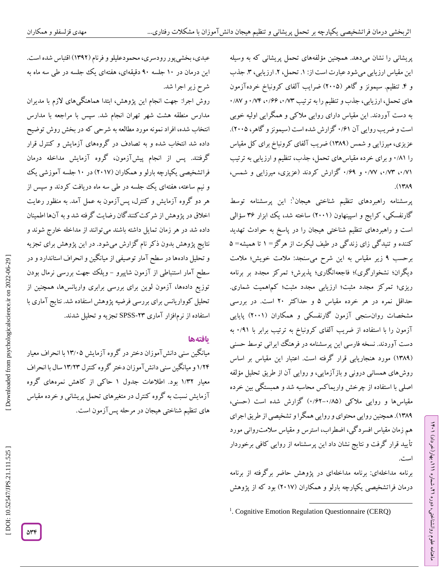پریشانی را نشان میدهد. همچنین مؤلفههای تحمل پریشانی که به وسیله این مقیاس ارزیابی می شود عبارت است از: ١. تحمل، ٢. ارزیابی، ٣. جذب و ۴. تنظیم. سیمونز و گاهر (۲۰۰۵) ضرایب آلفای کرونباخ خردهآزمون<br>های تحمل، ارزیابی، جذب و تنظیم را به ترتیب ۰/۸۳ (۰/۶۶ /۰/۷۴ و ۰/۸۷ به دست آوردند. این مقیاس دارای روایی مالکی و همگرایی اولیه خوبی است و ضریب روایی آن ۰/۶۱ کزارش شده است (سیمونز و کاهر، ۲۰۰۵). عزیزی، میرزایی و شمس )1381( ضریب آلفای کرونباخ برای کل مقیاس را ۰/۸۱ و برای خرده مقیاسهای تحمل، جذب، تنظیم و ارزیابی به ترتیب ۰/۷۱، ۰/۷۳ و ۰/۶۹ کزارش کردند (عزیزی، میرزایی و شمس، ۱۳۸۹).

پرسشنامه راهبردهای تنظیم شناختی هیجان 1 : این پرسشنامه توسط گارنفسکی، کرایج و اسپینهاون )2551( ساخته شد، یک ابزار 31 سؤالی است و راهبردهای تنظیم شناختی هیجان را در پاسخ به حوادث تهدید<br>کننده و تنیدگی زای زندگی در طیف لیکرت از هرگز= ۱ تا همیشه= ۵ زیر مقیاس به این شرح میسنجد: مالمت خویش؛ مالمت برحسب 1 دیگران؛ نشخوارگری)؛ فاجعهانگاری؛ پذیرش؛ تمرکز مجدد بر برنامه ریزی؛ تمرکز مجدد مثبت؛ ارزیابی مجدد مثبت؛ کماهمیت شماری. حداقل نمره در هر خرده مقیاس ۵ و حداکثر ۲۰ است. در بررسی مشخصات روانسنجی آزمون گارنفسکی و همکاران )2551( پایایی آزمون را با استفاده از ضریب آلفای کرونباخ به ترتیب برابر با ۰/۹۱ به دست آوردند. نسخه فارسی این پرسشنامه در فرهنگ ایرانی توسط حسنی (۱۳۸۹) مورد هنجاریابی قرار کرفته است. اعتبار این مقیاس بر اساس روشهای همسانی درونی و بازآزمایی، و روایی آن از طریق تحلیل مؤلفه اصلی با استفاده از چرخش واریماکس محاسبه شد و همبستگی بین خرده مقیاسها و روایی ملاکی (۰/۸۵–۰/۶۲) کزارش شده است (حسنی، 1381(. همچنین روایی محتوای و روایی همگرا و تشخیصی از طریق اجرای هم زمان مقیاس افسردگی، اضطراب، استرس و مقیاس سالمتروانی مورد تأیید قرار گرفت و نتایج نشان داد این پرسشنامه از روایی کافی برخوردار است.

برنامه مداخلهای: برنامه مداخلهای در پژوهش حاضر برگرفته از برنامه درمان فراتشخیصی یکپارچه بارلو و همکاران (۲۰۱۷) بود که از پژوهش ラン

، بهار)خرداد( 111

، شماره 21

ماهنامه علوم روانشناختی، دوره

عبدی، بخشیپور رودسری، محمودعلیلو و فرنام )1312( اقتباس شده است. این درمان در 15 جلسه 15 دقیقهای، هفتهای یک جلسه در طی سه ماه به شرح زیر اجرا شد.

روش اجرا: جهت انجام این پژوهش، ابتدا هماهنگیهای الزم با مدیران مدارس منطقه هشت شهر تهران انجام شد. سپس با مراجعه با مدارس انتخاب شده، افراد نمونه مورد مطالعه به شرحی که در بخش روش توضیح داده شد انتخاب شده و به تصادف در گروههای آزمایش و کنترل قرار گرفتند. پس از انجام پیشآزمون، گروه آزمایش مداخله درمان فراتشخیصی یکپارچه بارلو و همکاران (۲۰۱۷) در ۱۰ جلسه آموزشی یک و نیم ساعته، هفتهای یک جلسه در طی سه ماه دریافت کردند و سپس از هر دو گروه آزمایش و کنترل، پسآزمون به عمل آمد. به منظور رعایت اخالق در پژوهش از شرکتکنندگان رضایت گرفته شد و به آنها اطمینان داده شد در هر زمان تمایل داشته باشند میتوانند از مداخله خارج شوند و نتایج پژوهش بدون ذکر نام گزارش میشود. در این پژوهش برای تجزیه و تحلیل دادهها در سطح آمار توصیفی از میانگین و انحراف استاندارد و در سطح آمار استنباطی از آزمون شاپیرو – ویلک جهت بررسی نرمال بودن توزیع دادهها، آزمون لوین برای بررسی برابری واریانسها، همچنین از تحلیل کوواریانس برای بررسی فرضیه پژوهش استفاده شد. نتایج آماری با استفاده از نرم|فزار آماری ۲۳-SPSS تجزیه و تحلیل شدند.

#### **یافتهها**

میانگین سنی دانش آموزان دختر در کروه آزمایش ۱۳/۰۵ با انحراف معیار ۱/۲۴ و میانگین سنی دانش آموزان دختر کروه کنترل ۱۳/۲۳ سال با انحراف معیار ۱/۳۲ بود. اطلاعات جدول ۱ حاکی از کاهش نمرههای گروه آزمایش نسبت به گروه کنترل در متغیرهای تحمل پریشانی و خرده مقیاس<br>های تنظیم شناختی هیجان در مرحله پسآزمون است.

 $\overline{\phantom{a}}$ <sup>1</sup>. Cognitive Emotion Regulation Questionnaire (CERQ)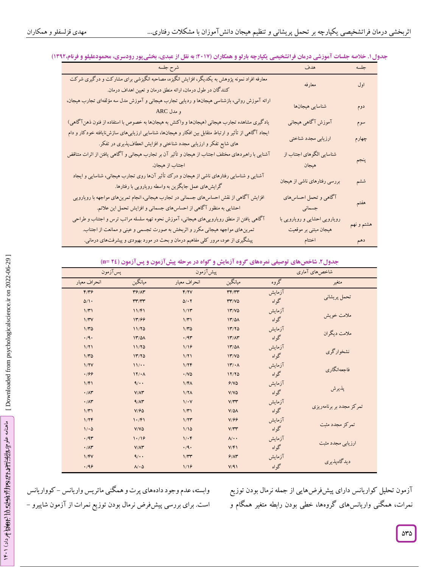|                                                                                                                                                                            | هدف                           | جلسه       |
|----------------------------------------------------------------------------------------------------------------------------------------------------------------------------|-------------------------------|------------|
| معارفه افراد نمونه پژوهش به یکدیگر، افزایش انگیزه، مصاحبه انگیزشی برای مشارکت و درگیری شرکت<br>کنندگان در طول درمان، ارائه منطق درمان و تعیین اهداف درمان.                 | معارفه                        | اول        |
| ارائه آموزش روانی، بازشناسی هیجانها و ردیابی تجارب هیجانی و آموزش مدل سه مؤلفهای تجارب هیجان،<br>و مدل ARC                                                                 | شناسايي هيجانها               | دوم        |
| یادگیری مشاهده تجارب هیجانی (هیجانها و واکنش به هیجانها به خصوص با استفاده از فنون ذهنآگاهی)                                                                               | آموزش آگاهی هیجانی            | سوم        |
| ایجاد آگاهی از تأثیر و ارتباط متقابل بین افکار و هیجانها، شناسایی ارزیابیهای سازشiایافته خودکار و دام<br>های شایع تفکر و ارزیابی مجدد شناختی و افزایش انعطافپذیری در تفکر. | ارزيابي مجدد شناختي           | چهارم      |
| آشنایی با راهبردهای مختلف اجتناب از هیجان و تأثیر آن بر تجارب هیجانی و آگاهی یافتن از اثرات متناقض                                                                         | شناسایی الگوهای اجتناب از     |            |
| اجتناب از هیجان.                                                                                                                                                           | هيجان                         | پنجم       |
| آشنایی و شناسایی رفتارهای ناشی از هیجان و درک تأثیر آنها روی تجارب هیجانی، شناسایی و ایجاد<br>گرایشهای عمل جایگزین به واسطه رویارویی با رفتارها.                           | بررسی رفتارهای ناشی از هیجان  | ششم        |
| افزایش آگاهی از نقش احساس۵ای جسمانی در تجارب هیجانی، انجام تمرین۵ای مواجهه با رویارویی                                                                                     | آگاهی و تحمل احساسهای         |            |
| احشایی به منظور آگاهی از احساس های جسمانی و افزایش تحمل این علائم.                                                                                                         | جسمانى                        | هفتم       |
| آگاهی یافتن از منطق رویاروییهای هیجانی، آموزش نحوه تهیه سلسله مراتب ترس و اجتناب و طراحی                                                                                   | رویارویی احشایی و رویارویی با |            |
| تمرینهای مواجهه هیجانی مکرر و اثربخش به صورت تجسمی و عینی و ممانعت از اجتناب.                                                                                              | هیجان مبتنی بر موقعیت         | هشتم و نهم |
| پیشگیری از عود، مرور کلی مفاهیم درمان و بحث در مورد بهبودی و پیشرفتهای درمانی.                                                                                             | اختتام                        | دهم        |

## جدول **۱. خلاصه جلسات آموزشی درمان فراتشخیصی یکپارچه بارلو و همکاران (۲۰۱۷؛ به نقل از عبدی، بخشیپور رودسری، محمودعلیلو و فرنام،۱۳۹۲)**

## جدول۲. شاخصهای توصیفی نمرههای گروه آزمایش و گواه در مرحله پیشآزمون و پسآزمون (۲٤ =n)

| پسآزمون                  | , <del>, , , , , , , , , , , ,</del>         | - -<br>◢<br>پیش آزمون | - - - -<br>--                               | , <i>,</i> | $\overline{\phantom{a}}$<br>شاخصهای آماری |
|--------------------------|----------------------------------------------|-----------------------|---------------------------------------------|------------|-------------------------------------------|
| انحراف معيار             | ميانگين                                      | انحراف معيار          | ميانگين                                     | گروه       | متغير                                     |
| F/Y                      | $Y^{\varphi}/\Lambda Y$                      | F/7V                  | $\mathbf{r}\mathbf{r}/\mathbf{r}\mathbf{r}$ | آزمايش     |                                           |
| $\Delta/\Lambda$         | $\mathsf{r}\mathsf{r}'\mathsf{r}\mathsf{r}'$ | $\Delta/\cdot$ Y      | $TT/V\Delta$                                | گواه       | تحمل پريشاني                              |
| $1/\mathcal{r}$          | 11/F1                                        | 1/11                  | 17/10                                       | آزمايش     |                                           |
| $1/\mathsf{r}\mathsf{v}$ | 1٣/۶۶                                        | $1/\mathcal{r}$       | 17/0A                                       | گواه       | ملامت خويش                                |
| 1/70                     | 11/70                                        | 1/70                  | 1770                                        | آزمايش     | ملامت ديگران                              |
| $\cdot$ /9.              | 17/0A                                        | .47                   | 17'/AT                                      | گواه       |                                           |
| 1/71                     | 11/70                                        | 1/19                  | 17/0A                                       | آزمايش     |                                           |
| $1/\mathsf{r}\Delta$     | 1770                                         | 1/71                  | 17/10                                       | گواه       | نشخوارگرى                                 |
| 1/7V                     | 11/4                                         | 1/7F                  | $11'/\cdot$                                 | آزمايش     | فاجعهانگاري                               |
| .199                     | 17/4                                         | $\cdot$ /V۵           | 17/70                                       | گواه       |                                           |
| 1/F1                     | $\mathbf{Q}$ .                               | 1/F <sub>A</sub>      | 9/10                                        | آزمايش     |                                           |
| $\cdot/\Lambda r$        | $V/\Lambda^*$                                | 1/7 <sub>A</sub>      | $V/V\Delta$                                 | گواه       | پذيرش                                     |
| $\cdot/\Lambda$ ۳        | 9/17                                         | $1/\cdot V$           | $V/\Upsilon\Upsilon$                        | آزمايش     |                                           |
| $1/\mathcal{r}$          | V/FQ                                         | $1/\mathcal{r}$       | $V/\Delta\Lambda$                           | گواه       | تمرکز مجدد بر برنامهریزی                  |
| 1/7F                     | 1.791                                        | 1/77                  | V/99                                        | آزمايش     |                                           |
| 1/20                     | $V/V\Delta$                                  | 1/10                  | $V/\Upsilon\Upsilon$                        | گواه       | تمركز مجدد مثبت                           |
| .47                      | 1.19                                         | $1/\cdot f$           | $\Lambda/\cdot$                             | آزمايش     |                                           |
| $\cdot/\Lambda$ ۳        | $V/\Lambda^{\omega}$                         | $\cdot$ /9.           | V/F1                                        | گواه       | ارزیابی مجدد مثبت                         |
| 1/FV                     | $\mathbf{Q}$ .                               | $1/\tau\tau$          | 9/14                                        | آزمايش     |                                           |
| .199                     | $\Lambda/\cdot \Delta$                       | 1/19                  | V/91                                        | گواه       | ديدگاهپذيري                               |

وابسته، عدم وجود دادههای پرت و همکنی ماتریس واریانس – کوواریانس است. برای بررسی پیشفرض نرمال بودن توزیع نمرات از آزمون شاپیرو - آزمون تحلیل کواریانس دارای پیشفرضهایی از جمله نرمال بودن توزیع نمرات، همگنی واریانسهای گروهها، خطی بودن رابطه متغیر همگام و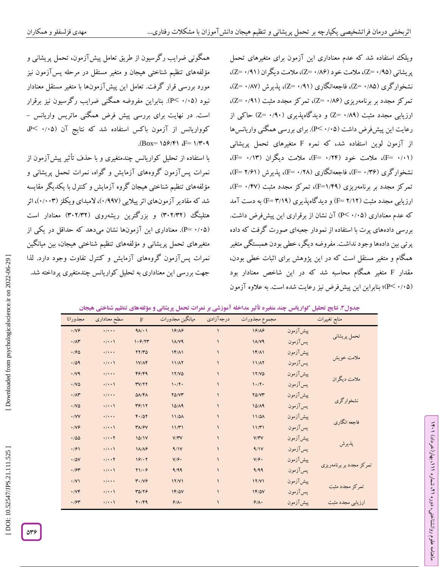ویلک استفاده شد که عدم معناداری این آزمون برای متغیرهای تحمل پریشانی (۹۵، +Z)، ملامت خود (۸۶/۹۰=Z)، ملامت دیگران (۹۱/۹۱=Z)، نشخوارگری (۵۵/۰ Z=)، فاجعهانگاری (۰/۹۱ Z=)، پذیرش (۵۷/۰ Z=)، تمرکز مجدد بر برنامهریزی (۸۶/۰ =Z)، تمرکز مجدد مثبت (۹۱/۰ =Z)، ارزیابی مجدد مثبت (۰/۸۹ =Z) و دیدگاهپذیری (۰/۹۰ =Z) حاکی از رعایت این پیشفرض داشت (۰/۰۵–P). برای بررسی همگنی واریانس۵ا از آزمون لوین استفاده شد، که نمره F متغیرهای تحمل پریشانی (F= ۰/۱۳)، ملامت خود (۲۴/ • F=)، ملامت دیگران (۲۳/ ۰=F)، نشخوارگری (F= ۰/۳۶)، فاجعهانگاری (۲۸/ ۰ F=)، پذیرش (F= ۲/۶۱)، تمرکز مجدد بر برنامهریزی (F=۱/۴۹)، تمرکز مجدد مثبت (F= ۰/۴۷)، ارزیابی مجدد مثبت (۲/۱۲ F=) و دیدگاهپذیری (۴/۱۹) به دست آمد که عدم معناداری (۴/۰٬۰۵ آن نشان از برقراری این پیشفرض داشت. بررسی دادههای پرت با استفاده از نمودار جعبهای صورت گرفت که داده پرتی بین دادهها وجود نداشت. مفروضه دیگر، خطی بودن همبستگی متغیر همگام و متغیر مستقل است که در این پژوهش برای اثبات خطی بودن، متغیر همگام محاسبه شد که در این شاخص معنادار بود مقدار <sup>F</sup> (P< ۰/۰۵)؛ بنابراین این پیشفرض نیز رعایت شده است. به علاوه آزمون

همگونی ضرایب رگرسیون از طریق تعامل پیشآزمون، تحمل پریشانی و مؤلفههای تنظیم شناختی هیجان و متغیر مستقل در مرحله پسآزمون نیز مورد بررسی قرار گرفت. تعامل این پیشآزمونها با متغیر مستقل معنادار نبود (۰/۰۵–PC). بنابراین مفروضه همگنی ضرایب رگرسیون نیز برقرار است. در نهایت برای بررسی پیش فرض همگنی ماتریس واریانس –<br>کوواریانس از آزمون باکس استفاده شد که نتایج آن (۰/۰۵ >P،  $(Box = 109/9)$   $F = 1/9.9$ 

با استفاده از تحلیل کواریانس چندمتغیری و با حذف تأثیر پیش ازمون از نمرات پسآزمون گروههای آزمایش و گواه، نمرات تحمل پریشانی و مؤلفههای تنظیم شناختی هیجان گروه آزمایش و کنترل با یکدیگر مقایسه شد که مقادیر آزمونهای اثر پیلایی (۱۹۹۷)، لامبدای ویکلز (۱٬۰۰۳)، اثر هتلینگ (۳۰۲/۳۲) و بزرگترین ریشهروی (۳۰۲/۳۲) معنادار است (P= ۰/۰۵). معناداری این آزمونها نشان میدهد که حداقل در یکی از متغیرهای تحمل پریشانی و مؤلفههای تنظیم شناختی هیجان، بین میانگین نمرات پسآزمون گروههای آزمایش و کنترل تفاوت وجود دارد. لذا جهت بررسی این معناداری به تحلیل کواریانس چندمتغیری پرداخته شد.

**. نتایج تحلیل کواریانس چند متغیره تأثیر مداخله آموزشی بر نمرات تحمل پریشانی و مؤلفههای تنظیم شناختی هیجان جدول3**

|                    | ت                                  | ت ر ر                             | ~~~ U           | ر۔ ت          |               | . U .s<br><u>.</u> | ີ<br>$\sim$ 00 $\sim$    |
|--------------------|------------------------------------|-----------------------------------|-----------------|---------------|---------------|--------------------|--------------------------|
| مجذوراتا           | سطح معنادارى                       | $\mathbf{F}$                      | ميانگين مجذورات | درجه آزادي    | مجموع مجذورات |                    | منابع تغييرات            |
| .199               | $\cdot/\cdot\cdot\cdot$            | 91/1                              | 19/19           | ١             | 19/19         | پیش آزمون          |                          |
| $\cdot/\Lambda$ ۳  | $\cdot/\cdot\cdot$                 | 1.9/77                            | $1/\sqrt{9}$    | $\mathbf{A}$  | <b>14/V9</b>  | پسآزمون            | تحمل پريشاني             |
| .780               | $\cdot/\cdot\cdot\cdot$            | YY/Y                              | $1F/\Lambda$    | $\mathcal{L}$ | $1F/\Lambda$  | پیش آزمون          |                          |
| .709               | $\cdot$ / $\cdot$                  | $1V/\Lambda$ F                    | 11/17           | $\mathcal{L}$ | 11/A7         | پسآزمون            | ملامت خويش               |
| $\cdot$ /V9        | $\cdot/\cdot\cdot\cdot$            | F9/F9                             | 17/6            | $\mathcal{L}$ | 17/6          | پیش آزمون          | ملامت دیگران             |
| $\cdot$ /V۵        | $\cdot/\cdot\cdot$                 | TY/YY                             | 1.77.           | $\mathcal{L}$ | 1.77.         | پسآزمون            |                          |
| $\cdot/\Lambda$ ۳  | $\cdot/\cdot\cdot\cdot$            | $\Delta \Lambda/\Upsilon \Lambda$ | $Y\Delta/VT$    | $\mathcal{L}$ | $Y\Delta/VT$  | پیش آزمون          | نشخوارگري                |
| $\cdot$ /V۵        | $\cdot/\cdot\cdot$                 | 79/11                             | 10/19           | $\mathcal{L}$ | 10/19         | پسآزمون            |                          |
| $\cdot$ /VV        | $\cdot/\cdot\cdot\cdot$            | F.707                             | $11/\Delta A$   | $\mathcal{L}$ | 11/2A         | پیش آزمون          | فاجعه انگاري             |
| $\cdot$ /V $\circ$ | $\cdot/\cdot\cdot$                 | $Y/\gamma V$                      | 11/T1           | $\mathbf{A}$  | 11/T1         | پسآزمون            |                          |
| $\cdot$ /00        | $\cdot/\cdot\cdot$ $\cdot$ $\cdot$ | 10/1V                             | V/YV            |               | V/YV          | پیش آزمون          |                          |
| .791               | $\cdot/\cdot\cdot$                 | $1\lambda/\lambda$ ۶              | 9/1V            | $\mathbf{A}$  | 9/1V          | پسآزمون            | پذيرش                    |
| $\cdot/\Delta V$   | . / 7                              | 19/17                             | V/F.            | $\mathbf{A}$  | V/F.          | پیش آزمون          |                          |
| .794               | $\cdot/\cdot\cdot$                 | $Y1/\cdot 9$                      | 9/99            | $\mathbf{A}$  | 9/99          | پسآزمون            | تمرکز مجدد بر برنامهریزی |
| $\cdot$ /V)        | $\cdot$ / $\cdot$ $\cdot$          | $Y \cdot / Vf$                    | 11/1            | $\mathbf{A}$  | 17/Y1         | پیش آزمون          |                          |
| $\cdot$ /VF        | $\cdot/\cdot\cdot$                 | 4774                              | 18/07           | $\mathbf{A}$  | $1F/\Delta V$ | پسآزمون            | تمركز مجدد مثبت          |
| .794               | $\cdot$ / $\cdot$                  | $Y \cdot /Y9$                     | 9/1.            | $\lambda$     | 9/1.          | پیش آزمون          | ارزیابی مجدد مثبت        |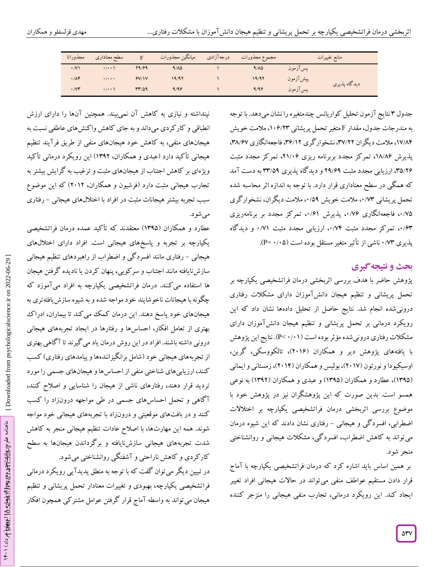| مجذوراتا                   | سطح معناداري              |       | ميانگين مجذورات | درجه آزادي | مجموع مجذورات |          | منابع تغييرات |
|----------------------------|---------------------------|-------|-----------------|------------|---------------|----------|---------------|
| $\cdot$ /V)                | $\cdot$ / $\cdot$         | 89199 | 9/10            |            | 9/10          | پس آزمون |               |
| .78                        | $\cdot$ / $\cdot$ $\cdot$ | 9V/1V | 19/92           |            | 19/97         | پیشآزمون | ديدگاه پذيري  |
| $\cdot$ / $\vee\mathbf{r}$ | $\cdot$ / $\cdot$ )       | 47769 | 9/99            |            | 9/99          | يس آزمون |               |

نتایج آزمون تحلیل کواریانس چندمتغیره را نشان میدهد. با توجه جدول 3 به مندرجات جدول، مقدار F متغیر تحمل پریشانی ۱۰۶/۲۳، ملامت خویش ۱۷/۸۴، ملامت دیگران ۳۷/۲۲، نشخوار کری ۳۶/۱۲، فاجعهانگاری ۳۸/۶۷، پدیرش ۱۸/۸۶، تمرکز مجدد بربرنامه ریزی ۲۱/۰۶، تمرکز مجدد مثبت ۳۵/۲۶ ارزیابی مجدد مثبت ۲۹/۶۹ و دید کاه پذیری ۳۳/۵۹ به دست آمد که همگی در سطح معناداری قرار دارد. با توجه به اندازه اثر محاسبه شده<br>تحمل پریشانی ۰،٬۷۳ ملامت خویش ۰،/۵۹ ملامت دیگران، نشخوارگری ۰/۷۵، فاجعهانگاری ۱٬۷۶۰، پدیرش ۰/۶۱، تمرکز مجدد بر برنامهریزی ۰٬۶۳ پذیری ۰/۰۳ ناشی از تأثیر متغیر مستقل بوده است (۰/۰۵–P).<br>\*

# **ی نتیجهگیر بحث و**

پژوهش حاضر با هدف بررسی اثربخشی درمان فراتشخیصی یکپارچه بر تحمل پریشانی و تنظیم هیجان دانشآموزان دارای مشکالت رفتاری درونیشده انجام شد. نتایج حاصل از تحلیل دادهها نشان داد که این رویکرد درمانی بر تحمل پریشانی و تنظیم هیجان دانشآموزان دارای مشکلات رفتاری درونی شده مؤثر بوده است (P< ۰/۰۱). نتایج این پژوهش با یافتههای پژوهش دیر و همکاران )2511(، تالکووسکی، گرین، اوسیکیودا و نورتون (۲۰۱۷)، بولیس و همکاران (۲۰۱۴)، زمستانی و ایمانی (۱۳۹۵)، عطارد و همکاران (۱۳۹۵) و عبدی و همکاران (۱۳۹۲) به نوعی همسو است. بدین صورت که این پژوهشگران نیز در پژوهش خود با موضوع بررسی اثربخشی درمان فراتشخیصی یکپارچه بر اختالالت اضطرابی، افسرد کی و هیجانی – رفتاری نشان دادند که این شیوه درمان میتواند به کاهش اضطراب، افسردگی، مشکالت هیجانی و روانشناختی منجر شود.

بر همین اساس باید اشاره کرد که درمان فراتشخیصی یکپارچه با آماج قرار دادن مستقیم عواطف منفی میتواند در حاالت هیجانی افراد تغییر ایجاد کند. این رویکرد درمانی، تجارب منفی هیجانی را منزجر کننده

نپنداشته و نیازی به کاهش آن نمیبیند. همچنین آنها را دارای ارزش انطباقی و کارکردی میداند و به جای کاهش واکنشهای عاطفی نسبت به هیجانهای منفی، به کاهش خود هیجانهای منفی از طریق فرآیند تنظیم هیجانی تأکید دارد )عبدی و همکاران، 1312( این رویکرد درمانی تأکید ویژهای بر کاهش اجتناب از هیجانهای مثبت و ترغیب به کرایش بیشتر به تجارب هیجانی مثبت دارد )فرشیون و همکاران، 2512( که این موضوع سبب تجربه بیشتر هیجانات مثبت در افراد با اختلالهای هیجانی – رفتاری میشود.

عطارد و همکاران )1310( معتقدند که تأکید عمده درمان فراتشخیصی یکپارچه بر تجربه و پاسخهای هیجانی است. افراد دارای اختاللهای هیجانی – رفتاری مانند افسرد کی و اضطراب از راهبردهای تنظیم هیجانی سازشنایافته مانند اجتناب و سرکوبی، پنهان کردن یا نادیده گرفتن هیجان ها استفاده میکنند. درمان فراتشخیصی یکپارچه به افراد میآموزد که چگونه با هیجانات ناخوشایند خود مواجه شده و به شیوه سازش یافتهتری به هیجانهای خود پاسخ دهند. این درمان کمک میکند تا بیماران، ادراک بهتری از تعامل افکار، احساسها و رفتارها در ایجاد تجربههای هیجانی درونی داشته باشند. افراد در این روش درمان یاد میگیرند تا آگاهی بهتری از تجربههای هیجانی خود (شامل برانگیزانندهها و پیامدهای رفتاری) کسب کنند، ارزیابیهای شناختی منفی از احساسها و هیجانهای جسمی را مورد تردید قرار دهند، رفتارهای ناشی از هیجان را شناسایی و اصالح کنند، آگاهی و تحمل احساسهای جسمی در طی مواجهه درونزاد را کسب کنند و در بافتهای موقعیتی و درونزاد با تجربههای هیجانی خود مواجه شوند. همه این مهارتها، با اصالح عادات تنظیم هیجانی منجر به کاهش شدت تجربههای هیجانی سازشنایافته و برگرداندن هیجانها به سطح کارکردی و کاهش ناراحتی و آشفتگی روانشناختی میشود.

در تبیین دیگر میتوان گفت که با توجه به منطق پدیدآیی رویکرد درمانی فراتشخیصی یکپارچه، بهبودی و تغییرات معنادار تحمل پریشانی و تنظیم هیجان میتواند به واسطه آماج قرار گرفتن عوامل مشترکی همچون افکار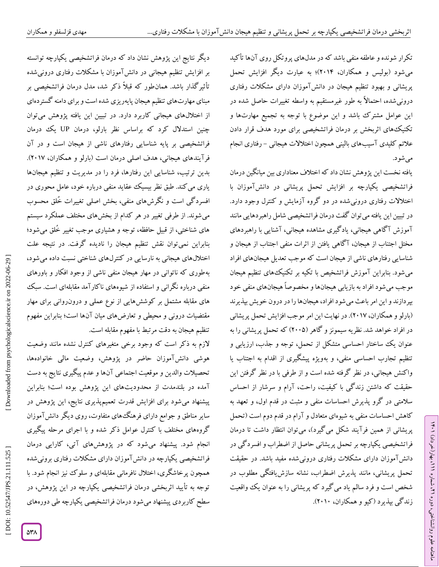تکرار شونده و عاطفه منفی باشد که در مدلهای پروتکل روی آنها تأکید میشود )بولیس و همکاران، 2514(؛ به عبارت دیگر افزایش تحمل پریشانی و بهبود تنظیم هیجان در دانشآموزان دارای مشکالت رفتاری درونیشده، احتماالً به طور غیرمستقیم به واسطه تغییرات حاصل شده در این عوامل مشترک باشد و این موضوع با توجه به تجمیع مهارتها و تکنیکهای اثربخش بر درمان فراتشخیصی برای مورد هدف قرار دادن علائم کلیدی آسیبهای بالینی همچون اختلالات هیجانی – رفتاری انجام مے شو د.

یافته نخست این پژوهش نشان داد که اختالف معناداری بین میانگین درمان فراتشخیصی یکپارچه بر افزایش تحمل پریشانی در دانشآموزان با اختالالت رفتاری درونیشده در دو گروه آزمایش و کنترل وجود دارد. در تبیین این یافته میتوان گفت درمان فراتشخیصی شامل راهبردهایی مانند آموزش آگاهی هیجانی، یادگیری مشاهده هیجانی، آشنایی با راهبردهای مختل اجتناب از هیجان، آگاهی یافتن از اثرات منفی اجتناب از هیجان و شناسایی رفتارهای ناشی از هیجان است که موجب تعدیل هیجانهای افراد میشود. بنابراین آموزش فراتشخیص با تکیه بر تکنیکهای تنظیم هیجان موجب میشود افراد به بازیابی هیجانها و مخصوصاً هیجانهای منفی خود بپردازند و این امر باعث میشود افراد، هیجانها را در درون خویش بپذیرند )بارلو و همکاران، 2517(. در نهایت این امر موجب افزایش تحمل پریشانی در افراد خواهد شد. نظریه سیمونز و گاهر )2550( که تحمل پریشانی را به عنوان یک ساختار احساسی متشکل از تحمل، توجه و جذب، ارزیابی و تنظیم تجارب احساسی منفی، و بهویژه پیشگیری از اقدام به اجتناب یا واکنش هیجانی، در نظر گرفته شده است و از طرفی با در نظر گرفتن این حقیقت که داشتن زندگی با کیفیت، راحت، آرام و سرشار از احساس سالمتی در گرو پذیرش احساسات منفی و مثبت در قدم اول، و تعهد به کاهش احساسات منفی به شیوهای متعادل و آرام در قدم دوم است )تحمل پریشانی از همین فرآیند شکل میگیرد(، میتوان انتظار داشت تا درمان فراتشخیصی یکپارچه بر تحمل پریشانی حاصل از اضطراب و افسردگی در دانشآموزان دارای مشکالت رفتاری درونیشده مفید باشد. در حقیقت تحمل پریشانی، مانند پذیرش اضطراب، نشانه سازشیافتگی مطلوب در شخص است و فرد سالم یاد میگیرد که پریشانی را به عنوان یک واقعیت زندگی بپذیرد )کیو و همکاران، 2515(.

ラン

، بهار)خرداد( 111

، شماره 21

ماهنامه علوم روانشناختی، دوره

دیگر نتایج این پژوهش نشان داد که درمان فراتشخیصی یکپارچه توانسته بر افزایش تنظیم هیجانی در دانشآموزان با مشکالت رفتاری درونیشده تأثیرگذار باشد. همانطور که قبالً ذکر شد، مدل درمان فراتشخیصی بر مبنای مهارتهای تنظیم هیجان پایهریزی شده است و برای دامنه گستردهای از اختاللهای هیجانی کاربرد دارد. در تبیین این یافته پژوهش میتوان چنین استدالل کرد که براساس نظر بارلو، درمان UP یک درمان فراتشخیصی بر پایه شناسایی رفتارهای ناشی از هیجان است و در آن فرآیندهای هیجانی، هدف اصلی درمان است (بارلو و همکاران، ۲۰۱۷). بدین ترتیب، شناسایی این رفتارها، فرد را در مدیریت و تنظیم هیجانها یاری میکند. طبق نظر بیسیک عقاید منفی درباره خود، عامل محوری در افسردگی است و نگرش،های منفی، بخش اصلی تغییرات خُلق محسوب<br>میشوند. از طرفی تغییر در هر کدام از بخشهای مختلف عملکرد سیستم های شناختی، از قبیل حافظه، توجه و هشیاری موجب تغییر خُلق میشود؛ بنابراین نمیتوان نقش تنظیم هیجان را نادیده گرفت. در نتیجه علت اختاللهای هیجانی به نارسایی در کنترلهای شناختی نسبت داده میشود، بهطوری که ناتوانی در مهار هیجان منفی ناشی از وجود افکار و باورهای منفی درباره نگرانی و استفاده از شیوههای ناکارآمد مقابلهای است. سبک های مقابله مشتمل بر کوششهایی از نوع عملی و درون(وانی برای مهار مقتضیات درونی و محیطی و تعارضهای میان آنها است؛ بنابراین مفهوم تنظیم هیجان به دقت مرتبط با مفهوم مقابله است.

الزم به ذکر است که وجود برخی متغیرهای کنترل نشده مانند وضعیت هوشی دانشآموزان حاضر در پژوهش، وضعیت مالی خانوادهها، تحصیالت والدین و موقعیت اجتماعی آنها و عدم پیگیری نتایج به دست آمده در بلندمدت از محدودیتهای این پژوهش بوده است؛ بنابراین پیشنهاد میشود برای افزایش قدرت تعمیمپذیری نتایج، این پژوهش در سایر مناطق و جوامع دارای فرهنگهای متفاوت، روی دیگر دانشآموزان گروههای مختلف با کنترل عوامل ذکر شده و با اجرای مرحله پیگیری انجام شود. پیشنهاد میشود که در پژوهشهای آتی، کارایی درمان فراتشخیصی یکپارچه در دانشآموزان دارای مشکالت رفتاری برونیشده همچون پرخاشگری، اختالل نافرمانی مقابلهای و سلوک نیز انجام شود. با توجه به تأیید اثربخشی درمان فراتشخیصی یکپارچه در این پژوهش، در سطح کاربردی پیشنهاد میشود درمان فراتشخیصی یکپارچه طی دورههای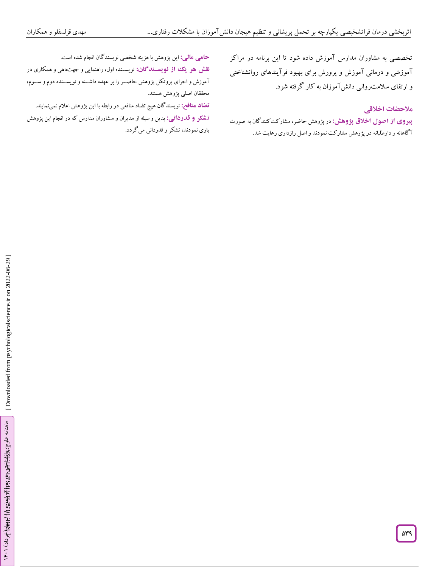تخصصی به مشاوران مدارس آموزش داده شود تا این برنامه در مراکز آموزشی و درمانی آموزش و پرورش برای بهبود فرآیندهای روانشناختی و ارتقای سلامت<sub>(</sub>وانی دانشآموزان به کار گرفته شود.<br>هلا**حضات اخ**لاق<u>ی</u>

**پیروی از آصول اخلاق پژوهش:** در پژوهش حاضر، مشارکت کنندگان به صورت آگاهانه و داوطلبانه در پژوهش مشارکت نمودند و اصل رازداری رعایت شد.

این پژوهش با هزینه شخصی نویسندگان انجام شده است. **: مالی حامی**

**نقش هو یک از نویسندگان:** نویسـنده اول، راهنمایی و جهتدهی و همکاری در آموزش و اجرای پروتکل پژوهش حاضننر را بر عهده داشننته و نویسنننده دوم و سننوم، محققان اصلی پژوهش هستند.

نویسندگان هیچ تضاد منافعی در رابطه با این پژوهش اعالم نمینمایند. **تضاد منافع: : تشکر و قدردانی:** بدین و سیله از مدیران و مشاوران مدارس که در انجام این پژوهش یاری نمودند، تشکر و قدردانی میگردد.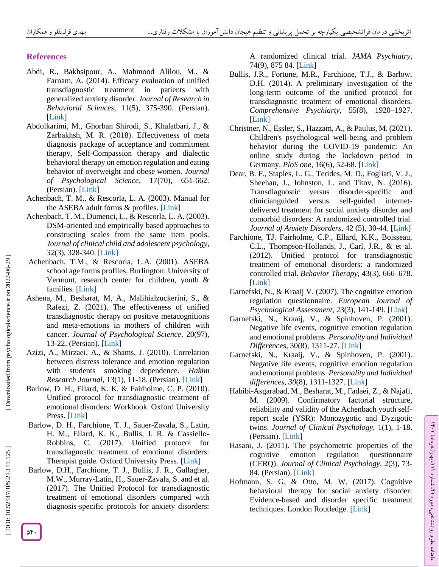## **References**

- Abdi, R., Bakhsipour, A., Mahmood Alilou, M., & Farnam, A. (2014). Efficacy evaluation of unified transdiagnostic treatment in patients with generalized anxiety disorder. *Journal of Research in Behavioral Sciences*, 11(5), 375 -390. (Persian). [\[Link](http://rbs.mui.ac.ir/browse.php?a_code=A-10-39-232&slc_lang=fa&sid=1) ]
- Abdolkarimi, M., Ghorban Shirodi, S., Khalatbari, J., & Zarbakhsh, M. R. (2018). Effectiveness of meta diagnosis package of acceptance and commitment therapy, Self-Compassion therapy and dialectic behavioral therapy on emotion regulation and eating behavior of overweight and obese women. *Journal of Psychological Science*, 17(70), 651 -662. (Persian). [\[Link](http://ensani.ir/fa/article/413338/%D8%A7%D8%AB%D8%B1%D8%A8%D8%AE%D8%B4%DB%8C-%D8%A8%D8%B3%D8%AA%D9%87-%D9%81%D8%B1%D8%A7%D8%AA%D8%B4%D8%AE%DB%8C%D8%B5%DB%8C-%D9%85%D8%A8%D8%AA%D9%86%DB%8C-%D8%A8%D8%B1-%D8%AF%D8%B1%D9%85%D8%A7%D9%86-%D9%BE%D8%B0%DB%8C%D8%B1%D8%B4-%D9%88-%D8%AA%D8%B9%D9%87%D8%AF-%D8%AF%D8%B1%D9%85%D8%A7%D9%86-%D9%85%D8%AA%D9%85%D8%B1%DA%A9%D8%B2-%D8%A8%D8%B1-%D8%B4%D9%81%D9%82%D8%AA-%D9%88-%D8%B1%D9%81%D8%AA%D8%A7%D8%B1%D8%AF%D8%B1%D9%85%D8%A7%D9%86%DB%8C-%D8%AF%DB%8C%D8%A7%D9%84%DB%8C%DA%A9%D8%AA%DB%8C%DA%A9%DB%8C-%D8%A8%D8%B1-%D8%AA%D9%86%D8%B8%DB%8C%D9%85-%D9%87%DB%8C%D8%AC%D8%A7%D9%86-%D9%88-%D8%B1%D9%81%D8%AA%D8%A7%D8%B1-%D8%AE%D9%88%D8%B1%D8%AF%D9%86-%D8%B2%D9%86%D8%A7%D9%86-%D9%85%D8%A8%D8%AA%D9%84%D8%A7-%D8%A8%D9%87-%D8%A7%D8%B6%D8%A7%D9%81%D9%87-%D9%88%D8%B2%D9%86-%D9%88-%DA%86%D8%A7%D9%82%DB%8C) ]
- Achenbach, T. M., & Rescorla, L. A. (2003). Manual for the ASEBA adult forms & profiles. [\[Link](https://www.scirp.org/\(S\(351jmbntvnsjt1aadkozje\)\)/reference/ReferencesPapers.aspx?ReferenceID=2239454) ]
- Achenbach, T. M., Dumenci, L., & Rescorla, L. A. (2003). DSM -oriented and empirically based approaches to constructing scales from the same item pools. *Journal of clinical child and adolescent psychology*, *32*(3), 328 -340. [\[Link](https://www.tandfonline.com/doi/abs/10.1207/S15374424JCCP3203_02) ]
- Achenbach, T.M., & Rescorla, L.A. (2001). ASEBA school age forms profiles. Burlington: University of Vermont, research center for children, youth & families. [\[Link](https://scholar.google.com/scholar?hl=en&as_sdt=0%2C5&q=Achenbach%2C+T.M.%2C+%26+Rescorla%2C+L.A.+%282001%29.+ASEBA+school+age+forms+profiles.+Burlington%3A+University+of+Vermont%2C+research+center+for+children%2C+youth+%26+families.&btnG=) ]
- Ashena, M., Besharat, M, A., Malihialzuckerini, S., & Rafezi, Z. (2021). The effectiveness of unified transdiagnostic therapy on positive metacognitions and meta -emotions in mothers of children with cancer. *Journal of Psychological Science*, 20(97), 13 -22. (Persian). [\[Link](https://psychologicalscience.ir/browse.php?a_id=806&sid=1&slc_lang=fa) ]
- Azizi, A., Mirzaei, A., & Shams, J. (2010). Correlation between distress tolerance and emotion regulation with students smoking dependence. *Hakim Research Journal*, 13(1), 11 -18. (Persian). [\[Link](https://www.sid.ir/fa/journal/ViewPaper.aspx?id=109986) ]
- Barlow, D. H., Ellard, K. K. & Fairholme, C. P. (2010). Unified protocol for transdiagnostic treatment of emotional disorders: Workbook. Oxford University Press. [\[Link](https://www.oxfordclinicalpsych.com/view/10.1093/med:psych/9780199772674.001.0001/med-9780199772674)]
- Barlow, D. H., Farchione, T. J., Sauer -Zavala, S., Latin, H. M., Ellard, K. K., Bullis, J. R. & Cassiello - Robbins, C. (2017). Unified protocol for transdiagnostic treatment of emotional disorders: Therapist guide. Oxford University Press. [\[Link](https://jamanetwork.com/journals/jamapsychiatry/article-abstract/2646395)]
- Barlow, D.H., Farchione, T. J., Bullis, J. R., Gallagher, M.W., Murray -Latin, H., Sauer -Zavala, S. and et al. (2017). The Unified Protocol for transdiagnostic treatment of emotional disorders compared with diagnosis -specific protocols for anxiety disorders:

A randomized clinical trial. *JAMA Psychiatry*, 74(9), 875 84. [\[Link](https://jamanetwork.com/journals/jamapsychiatry/article-abstract/2646395) ]

- Bullis, J.R., Fortune, M.R., Farchione, T.J., & Barlow, D.H. (2014). A preliminary investigation of the long -term outcome of the unified protocol for transdiagnostic treatment of emotional disorders. *Comprehensive Psychiarty*, 55(8), 1920 –1927. [\[Link](https://www.sciencedirect.com/science/article/abs/pii/S0010440X14001850) ]
- Christner, N., Essler, S., Hazzam, A., & Paulus, M. (2021). Children's psychological well -being and problem behavior during the COVID -19 pandemic: An online study during the lockdown period in Germany. *PloS one*, 16(6), 52-68. [\[Link](https://journals.plos.org/plosone/article?id=10.1371/journal.pone.0253473)]
- Dear, B. F., Staples, L. G., Terides, M. D., Fogliati, V. J., Sheehan, J., Johnston, L. and Titov, N. (2016). Transdiagnostic versus disorder-specific and clinicianguided versus self-guided internetdelivered treatment for social anxiety disorder and comorbid disorders: A randomized controlled trial. Journal of Anxiety Disorders, 42 (5), 30-44. [\[Link](https://www.sciencedirect.com/science/article/pii/S0887618516300639)]
- Farchione, TJ. Fairholme, C.P., Ellard, K.K., Boisseau, C.L., Thompson -Hollands, J., Carl, J.R., & et al. (2012). Unified protocol for transdiagnostic treatment of emotional disorders: a randomized controlled trial. *Behavior Therapy*, 43(3), 666 –678. [\[Link](https://www.sciencedirect.com/science/article/abs/pii/S0005789412000020) ]
- Garnefski, N., & Kraaij V. (2007). The cognitive emotion regulation questionnaire. *European Journal of Psychological Assessment*, 23(3), 141 -149. [\[Link](https://econtent.hogrefe.com/doi/abs/10.1027/1015-5759.23.3.141) ]
- Garnefski, N., Kraaij, V., & Spinhoven, P. (2001). Negative life events, cognitive emotion regulation and emotional problems. *Personality and Individual Difference*s, 30(8), 1311 -27. [\[Link](https://www.sciencedirect.com/science/article/abs/pii/S0191886900001136) ]
- Garnefski, N., Kraaij, V., & Spinhoven, P. (2001). Negative life events, cognitive emotion regulation and emotional problems. *Personality and Individual differences*, *30*(8), 1311 -1327. [\[Link](https://www.sciencedirect.com/science/article/abs/pii/S0191886900001136) ]
- Habib i -Asgarabad, M., Besharat, M., Fadaei, Z., & Najafi, M. (2009). Confirmatory factorial structure, reliability and validity of the Achenbach youth self report scale (YSR): Monozygotic and Dyzigotic twins. *Journal of Clinical Psychology*, 1(1), 1 -18. (Persian). [\[Link](https://www.sid.ir/fa/journal/ViewPaper.aspx?id=122763) ]
- Hasani, J. (2011). The psychometric properties of the cognitive emotion regulation questionnaire (CERQ). *Journal of Clinical Psychology*, 2(3), 73 - 84. (Persian). [\[Link](https://www.sid.ir/fa/journal/ViewPaper.aspx?id=120613) ]
- Hofmann, S. G, & Otto, M. W. (2017). Cognitive behavioral therapy for social anxiety disorder: Evidence -based and disorder specific treatment techniques. London Routledge. [\[Link](https://www.taylorfrancis.com/books/mono/10.4324/9781315617039/cognitive-behavioral-therapy-social-anxiety-disorder-stefan-hofmann-michael-otto)]

Downloaded from psychologicalscience.ir on 2022-06-29